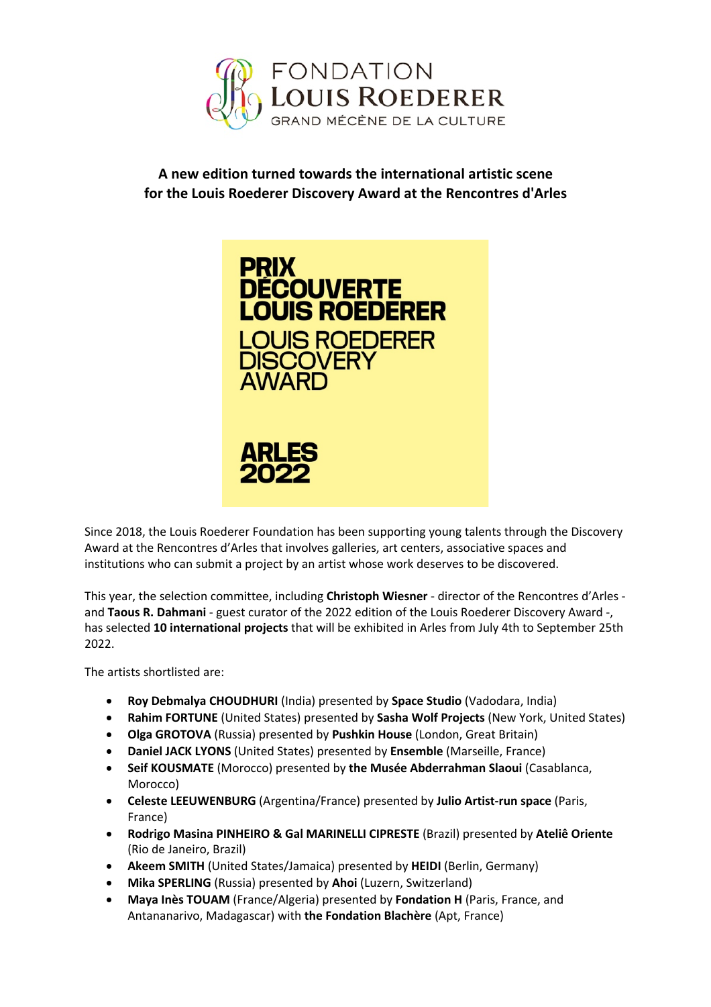

**A new edition turned towards the international artistic scene for the Louis Roederer Discovery Award at the Rencontres d'Arles**



Since 2018, the Louis Roederer Foundation has been supporting young talents through the Discovery Award at the Rencontres d'Arles that involves galleries, art centers, associative spaces and institutions who can submit a project by an artist whose work deserves to be discovered.

This year, the selection committee, including **Christoph Wiesner** - director of the Rencontres d'Arles and **Taous R. Dahmani** - guest curator of the 2022 edition of the Louis Roederer Discovery Award -, has selected **10 international projects** that will be exhibited in Arles from July 4th to September 25th 2022.

The artists shortlisted are:

- **Roy Debmalya CHOUDHURI** (India) presented by **Space Studio** (Vadodara, India)
- **Rahim FORTUNE** (United States) presented by **Sasha Wolf Projects** (New York, United States)
- **Olga GROTOVA** (Russia) presented by **Pushkin House** (London, Great Britain)
- **Daniel JACK LYONS** (United States) presented by **Ensemble** (Marseille, France)
- **Seif KOUSMATE** (Morocco) presented by **the Musée Abderrahman Slaoui** (Casablanca, Morocco)
- **Celeste LEEUWENBURG** (Argentina/France) presented by **Julio Artist-run space** (Paris, France)
- **Rodrigo Masina PINHEIRO & Gal MARINELLI CIPRESTE** (Brazil) presented by **Ateliê Oriente**  (Rio de Janeiro, Brazil)
- **Akeem SMITH** (United States/Jamaica) presented by **HEIDI** (Berlin, Germany)
- **Mika SPERLING** (Russia) presented by **Ahoi** (Luzern, Switzerland)
- **Maya Inès TOUAM** (France/Algeria) presented by **Fondation H** (Paris, France, and Antananarivo, Madagascar) with **the Fondation Blachère** (Apt, France)